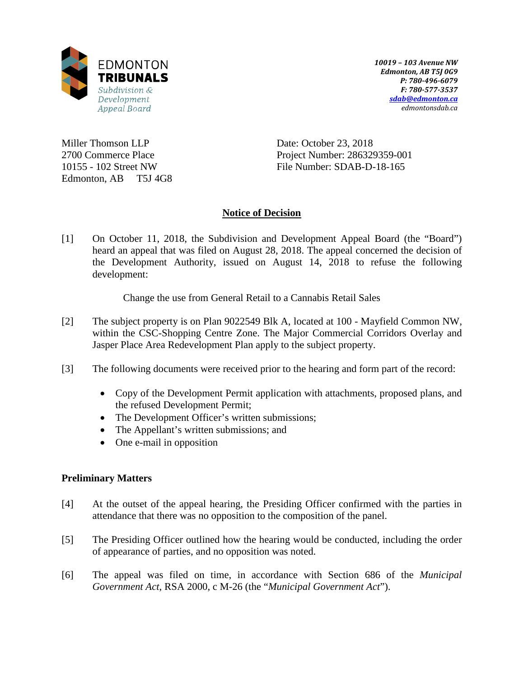

*10019 – 103 Avenue NW Edmonton, AB T5J 0G9 P: 780-496-6079 F: 780-577-3537 [sdab@edmonton.ca](mailto:sdab@edmonton.ca) edmontonsdab.ca*

Miller Thomson LLP 2700 Commerce Place 10155 - 102 Street NW Edmonton, AB T5J 4G8 Date: October 23, 2018 Project Number: 286329359-001 File Number: SDAB-D-18-165

# **Notice of Decision**

[1] On October 11, 2018, the Subdivision and Development Appeal Board (the "Board") heard an appeal that was filed on August 28, 2018. The appeal concerned the decision of the Development Authority, issued on August 14, 2018 to refuse the following development:

Change the use from General Retail to a Cannabis Retail Sales

- [2] The subject property is on Plan 9022549 Blk A, located at 100 Mayfield Common NW, within the CSC-Shopping Centre Zone. The Major Commercial Corridors Overlay and Jasper Place Area Redevelopment Plan apply to the subject property.
- [3] The following documents were received prior to the hearing and form part of the record:
	- Copy of the Development Permit application with attachments, proposed plans, and the refused Development Permit;
	- The Development Officer's written submissions;
	- The Appellant's written submissions; and
	- One e-mail in opposition

# **Preliminary Matters**

- [4] At the outset of the appeal hearing, the Presiding Officer confirmed with the parties in attendance that there was no opposition to the composition of the panel.
- [5] The Presiding Officer outlined how the hearing would be conducted, including the order of appearance of parties, and no opposition was noted.
- [6] The appeal was filed on time, in accordance with Section 686 of the *Municipal Government Act*, RSA 2000, c M-26 (the "*Municipal Government Act*").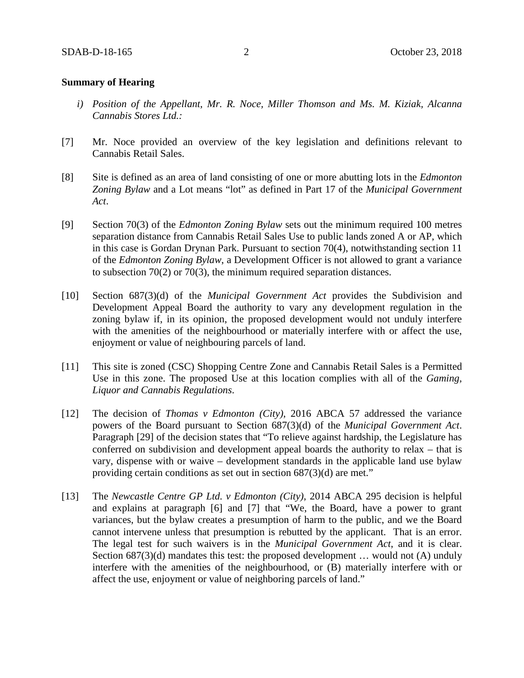### **Summary of Hearing**

- *i) Position of the Appellant, Mr. R. Noce, Miller Thomson and Ms. M. Kiziak, Alcanna Cannabis Stores Ltd.:*
- [7] Mr. Noce provided an overview of the key legislation and definitions relevant to Cannabis Retail Sales.
- [8] Site is defined as an area of land consisting of one or more abutting lots in the *Edmonton Zoning Bylaw* and a Lot means "lot" as defined in Part 17 of the *Municipal Government Act*.
- [9] Section 70(3) of the *Edmonton Zoning Bylaw* sets out the minimum required 100 metres separation distance from Cannabis Retail Sales Use to public lands zoned A or AP, which in this case is Gordan Drynan Park. Pursuant to section 70(4), notwithstanding section 11 of the *Edmonton Zoning Bylaw*, a Development Officer is not allowed to grant a variance to subsection 70(2) or 70(3), the minimum required separation distances.
- [10] Section 687(3)(d) of the *Municipal Government Act* provides the Subdivision and Development Appeal Board the authority to vary any development regulation in the zoning bylaw if, in its opinion, the proposed development would not unduly interfere with the amenities of the neighbourhood or materially interfere with or affect the use, enjoyment or value of neighbouring parcels of land.
- [11] This site is zoned (CSC) Shopping Centre Zone and Cannabis Retail Sales is a Permitted Use in this zone. The proposed Use at this location complies with all of the *Gaming, Liquor and Cannabis Regulations*.
- [12] The decision of *Thomas v Edmonton (City)*, 2016 ABCA 57 addressed the variance powers of the Board pursuant to Section 687(3)(d) of the *Municipal Government Act*. Paragraph [29] of the decision states that "To relieve against hardship, the Legislature has conferred on subdivision and development appeal boards the authority to relax – that is vary, dispense with or waive – development standards in the applicable land use bylaw providing certain conditions as set out in section 687(3)(d) are met."
- [13] The *Newcastle Centre GP Ltd. v Edmonton (City)*, 2014 ABCA 295 decision is helpful and explains at paragraph [6] and [7] that "We, the Board, have a power to grant variances, but the bylaw creates a presumption of harm to the public, and we the Board cannot intervene unless that presumption is rebutted by the applicant. That is an error. The legal test for such waivers is in the *Municipal Government Act*, and it is clear. Section 687(3)(d) mandates this test: the proposed development ... would not (A) unduly interfere with the amenities of the neighbourhood, or (B) materially interfere with or affect the use, enjoyment or value of neighboring parcels of land."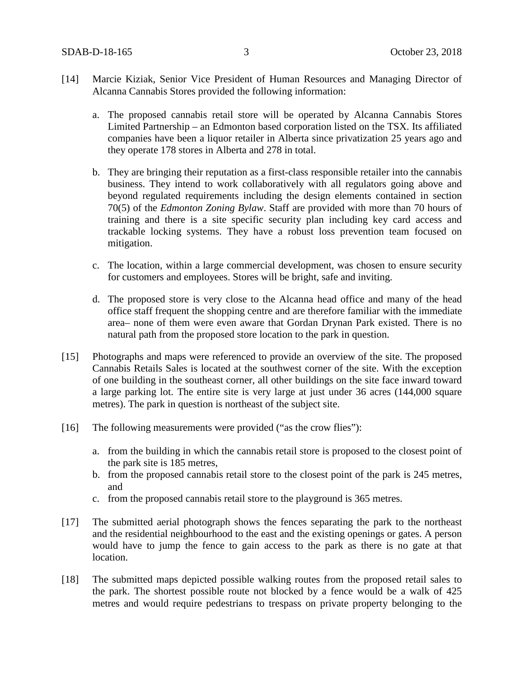- [14] Marcie Kiziak, Senior Vice President of Human Resources and Managing Director of Alcanna Cannabis Stores provided the following information:
	- a. The proposed cannabis retail store will be operated by Alcanna Cannabis Stores Limited Partnership – an Edmonton based corporation listed on the TSX. Its affiliated companies have been a liquor retailer in Alberta since privatization 25 years ago and they operate 178 stores in Alberta and 278 in total.
	- b. They are bringing their reputation as a first-class responsible retailer into the cannabis business. They intend to work collaboratively with all regulators going above and beyond regulated requirements including the design elements contained in section 70(5) of the *Edmonton Zoning Bylaw*. Staff are provided with more than 70 hours of training and there is a site specific security plan including key card access and trackable locking systems. They have a robust loss prevention team focused on mitigation.
	- c. The location, within a large commercial development, was chosen to ensure security for customers and employees. Stores will be bright, safe and inviting.
	- d. The proposed store is very close to the Alcanna head office and many of the head office staff frequent the shopping centre and are therefore familiar with the immediate area– none of them were even aware that Gordan Drynan Park existed. There is no natural path from the proposed store location to the park in question.
- [15] Photographs and maps were referenced to provide an overview of the site. The proposed Cannabis Retails Sales is located at the southwest corner of the site. With the exception of one building in the southeast corner, all other buildings on the site face inward toward a large parking lot. The entire site is very large at just under 36 acres (144,000 square metres). The park in question is northeast of the subject site.
- [16] The following measurements were provided ("as the crow flies"):
	- a. from the building in which the cannabis retail store is proposed to the closest point of the park site is 185 metres,
	- b. from the proposed cannabis retail store to the closest point of the park is 245 metres, and
	- c. from the proposed cannabis retail store to the playground is 365 metres.
- [17] The submitted aerial photograph shows the fences separating the park to the northeast and the residential neighbourhood to the east and the existing openings or gates. A person would have to jump the fence to gain access to the park as there is no gate at that location.
- [18] The submitted maps depicted possible walking routes from the proposed retail sales to the park. The shortest possible route not blocked by a fence would be a walk of 425 metres and would require pedestrians to trespass on private property belonging to the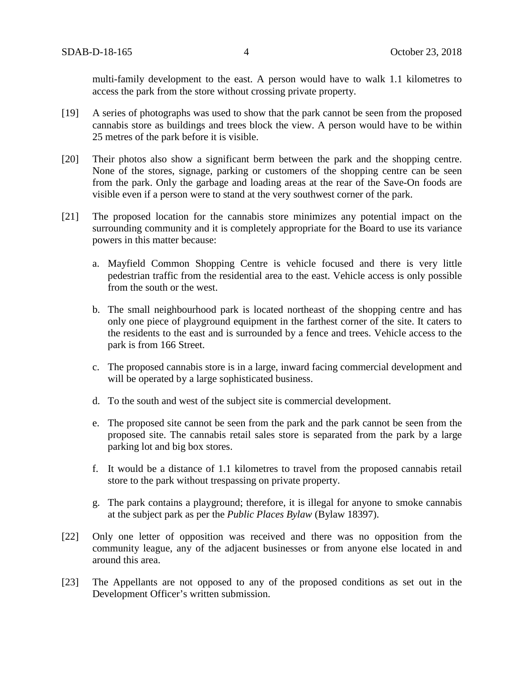multi-family development to the east. A person would have to walk 1.1 kilometres to access the park from the store without crossing private property.

- [19] A series of photographs was used to show that the park cannot be seen from the proposed cannabis store as buildings and trees block the view. A person would have to be within 25 metres of the park before it is visible.
- [20] Their photos also show a significant berm between the park and the shopping centre. None of the stores, signage, parking or customers of the shopping centre can be seen from the park. Only the garbage and loading areas at the rear of the Save-On foods are visible even if a person were to stand at the very southwest corner of the park.
- [21] The proposed location for the cannabis store minimizes any potential impact on the surrounding community and it is completely appropriate for the Board to use its variance powers in this matter because:
	- a. Mayfield Common Shopping Centre is vehicle focused and there is very little pedestrian traffic from the residential area to the east. Vehicle access is only possible from the south or the west.
	- b. The small neighbourhood park is located northeast of the shopping centre and has only one piece of playground equipment in the farthest corner of the site. It caters to the residents to the east and is surrounded by a fence and trees. Vehicle access to the park is from 166 Street.
	- c. The proposed cannabis store is in a large, inward facing commercial development and will be operated by a large sophisticated business.
	- d. To the south and west of the subject site is commercial development.
	- e. The proposed site cannot be seen from the park and the park cannot be seen from the proposed site. The cannabis retail sales store is separated from the park by a large parking lot and big box stores.
	- f. It would be a distance of 1.1 kilometres to travel from the proposed cannabis retail store to the park without trespassing on private property.
	- g. The park contains a playground; therefore, it is illegal for anyone to smoke cannabis at the subject park as per the *Public Places Bylaw* (Bylaw 18397).
- [22] Only one letter of opposition was received and there was no opposition from the community league, any of the adjacent businesses or from anyone else located in and around this area.
- [23] The Appellants are not opposed to any of the proposed conditions as set out in the Development Officer's written submission.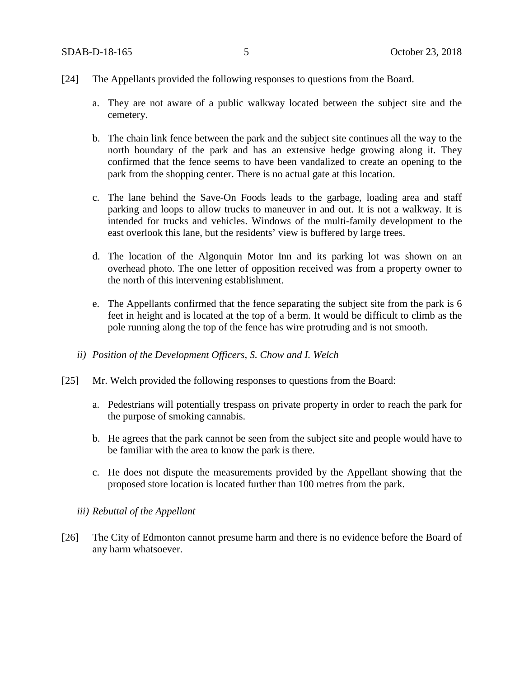- [24] The Appellants provided the following responses to questions from the Board.
	- a. They are not aware of a public walkway located between the subject site and the cemetery.
	- b. The chain link fence between the park and the subject site continues all the way to the north boundary of the park and has an extensive hedge growing along it. They confirmed that the fence seems to have been vandalized to create an opening to the park from the shopping center. There is no actual gate at this location.
	- c. The lane behind the Save-On Foods leads to the garbage, loading area and staff parking and loops to allow trucks to maneuver in and out. It is not a walkway. It is intended for trucks and vehicles. Windows of the multi-family development to the east overlook this lane, but the residents' view is buffered by large trees.
	- d. The location of the Algonquin Motor Inn and its parking lot was shown on an overhead photo. The one letter of opposition received was from a property owner to the north of this intervening establishment.
	- e. The Appellants confirmed that the fence separating the subject site from the park is 6 feet in height and is located at the top of a berm. It would be difficult to climb as the pole running along the top of the fence has wire protruding and is not smooth.
	- *ii) Position of the Development Officers, S. Chow and I. Welch*
- [25] Mr. Welch provided the following responses to questions from the Board:
	- a. Pedestrians will potentially trespass on private property in order to reach the park for the purpose of smoking cannabis.
	- b. He agrees that the park cannot be seen from the subject site and people would have to be familiar with the area to know the park is there.
	- c. He does not dispute the measurements provided by the Appellant showing that the proposed store location is located further than 100 metres from the park.
	- *iii) Rebuttal of the Appellant*
- [26] The City of Edmonton cannot presume harm and there is no evidence before the Board of any harm whatsoever.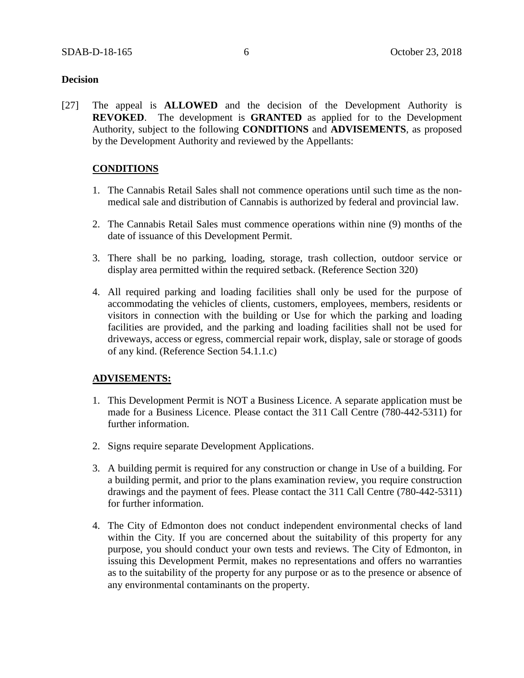### **Decision**

[27] The appeal is **ALLOWED** and the decision of the Development Authority is **REVOKED**. The development is **GRANTED** as applied for to the Development Authority, subject to the following **CONDITIONS** and **ADVISEMENTS**, as proposed by the Development Authority and reviewed by the Appellants:

## **CONDITIONS**

- 1. The Cannabis Retail Sales shall not commence operations until such time as the nonmedical sale and distribution of Cannabis is authorized by federal and provincial law.
- 2. The Cannabis Retail Sales must commence operations within nine (9) months of the date of issuance of this Development Permit.
- 3. There shall be no parking, loading, storage, trash collection, outdoor service or display area permitted within the required setback. (Reference Section 320)
- 4. All required parking and loading facilities shall only be used for the purpose of accommodating the vehicles of clients, customers, employees, members, residents or visitors in connection with the building or Use for which the parking and loading facilities are provided, and the parking and loading facilities shall not be used for driveways, access or egress, commercial repair work, display, sale or storage of goods of any kind. (Reference Section 54.1.1.c)

## **ADVISEMENTS:**

- 1. This Development Permit is NOT a Business Licence. A separate application must be made for a Business Licence. Please contact the 311 Call Centre (780-442-5311) for further information.
- 2. Signs require separate Development Applications.
- 3. A building permit is required for any construction or change in Use of a building. For a building permit, and prior to the plans examination review, you require construction drawings and the payment of fees. Please contact the 311 Call Centre (780-442-5311) for further information.
- 4. The City of Edmonton does not conduct independent environmental checks of land within the City. If you are concerned about the suitability of this property for any purpose, you should conduct your own tests and reviews. The City of Edmonton, in issuing this Development Permit, makes no representations and offers no warranties as to the suitability of the property for any purpose or as to the presence or absence of any environmental contaminants on the property.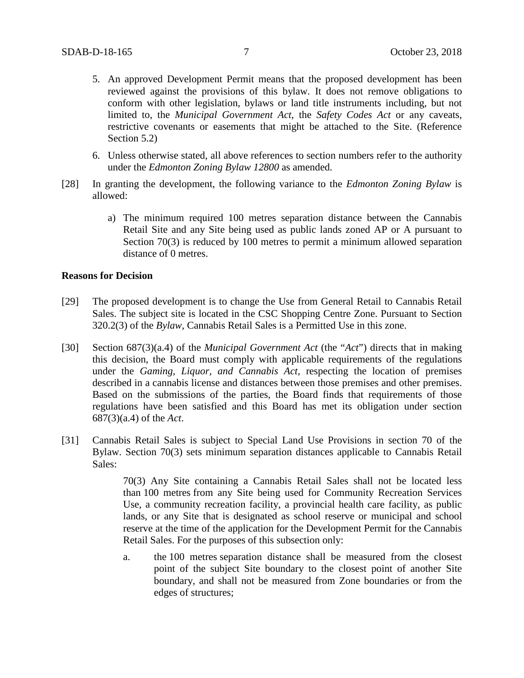- 5. An approved Development Permit means that the proposed development has been reviewed against the provisions of this bylaw. It does not remove obligations to conform with other legislation, bylaws or land title instruments including, but not limited to, the *Municipal Government Act*, the *Safety Codes Act* or any caveats, restrictive covenants or easements that might be attached to the Site. (Reference Section 5.2)
- 6. Unless otherwise stated, all above references to section numbers refer to the authority under the *Edmonton Zoning Bylaw 12800* as amended.
- [28] In granting the development, the following variance to the *Edmonton Zoning Bylaw* is allowed:
	- a) The minimum required 100 metres separation distance between the Cannabis Retail Site and any Site being used as public lands zoned AP or A pursuant to Section 70(3) is reduced by 100 metres to permit a minimum allowed separation distance of 0 metres.

#### **Reasons for Decision**

- [29] The proposed development is to change the Use from General Retail to Cannabis Retail Sales. The subject site is located in the CSC Shopping Centre Zone. Pursuant to Section 320.2(3) of the *Bylaw*, Cannabis Retail Sales is a Permitted Use in this zone.
- [30] Section 687(3)(a.4) of the *Municipal Government Act* (the "*Act*") directs that in making this decision, the Board must comply with applicable requirements of the regulations under the *Gaming, Liquor, and Cannabis Act,* respecting the location of premises described in a cannabis license and distances between those premises and other premises. Based on the submissions of the parties, the Board finds that requirements of those regulations have been satisfied and this Board has met its obligation under section 687(3)(a.4) of the *Act*.
- [31] Cannabis Retail Sales is subject to Special Land Use Provisions in section 70 of the Bylaw. Section 70(3) sets minimum separation distances applicable to Cannabis Retail Sales:

70(3) Any Site containing a Cannabis Retail Sales shall not be located less than 100 metres from any Site being used for Community Recreation Services Use, a community recreation facility, a provincial health care facility, as public lands, or any Site that is designated as school reserve or municipal and school reserve at the time of the application for the Development Permit for the Cannabis Retail Sales. For the purposes of this subsection only:

a. the 100 metres separation distance shall be measured from the closest point of the subject Site boundary to the closest point of another Site boundary, and shall not be measured from Zone boundaries or from the edges of structures;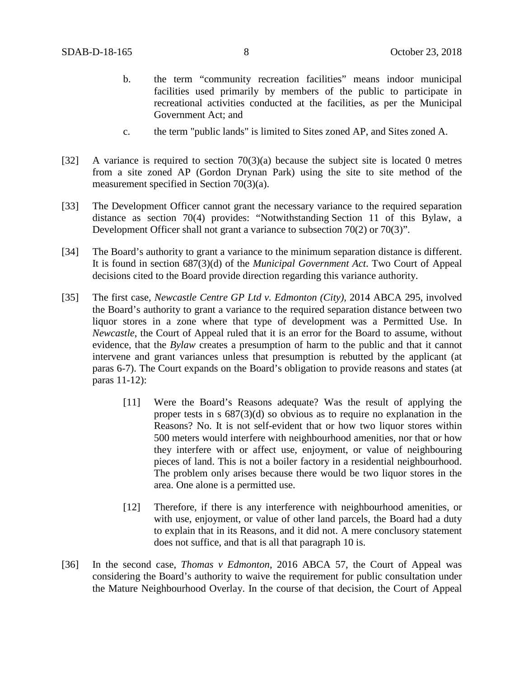- b. the term "community recreation facilities" means indoor municipal facilities used primarily by members of the public to participate in recreational activities conducted at the facilities, as per the Municipal Government Act; and
- c. the term "public lands" is limited to Sites zoned AP, and Sites zoned A.
- [32] A variance is required to section 70(3)(a) because the subject site is located 0 metres from a site zoned AP (Gordon Drynan Park) using the site to site method of the measurement specified in Section 70(3)(a).
- [33] The Development Officer cannot grant the necessary variance to the required separation distance as section 70(4) provides: "Notwithstanding Section 11 of this Bylaw, a Development Officer shall not grant a variance to subsection 70(2) or 70(3)".
- [34] The Board's authority to grant a variance to the minimum separation distance is different. It is found in section 687(3)(d) of the *Municipal Government Act*. Two Court of Appeal decisions cited to the Board provide direction regarding this variance authority.
- [35] The first case, *Newcastle Centre GP Ltd v. Edmonton (City),* 2014 ABCA 295, involved the Board's authority to grant a variance to the required separation distance between two liquor stores in a zone where that type of development was a Permitted Use. In *Newcastle*, the Court of Appeal ruled that it is an error for the Board to assume, without evidence, that the *Bylaw* creates a presumption of harm to the public and that it cannot intervene and grant variances unless that presumption is rebutted by the applicant (at paras 6-7). The Court expands on the Board's obligation to provide reasons and states (at paras 11-12):
	- [11] Were the Board's Reasons adequate? Was the result of applying the proper tests in s 687(3)(d) so obvious as to require no explanation in the Reasons? No. It is not self-evident that or how two liquor stores within 500 meters would interfere with neighbourhood amenities, nor that or how they interfere with or affect use, enjoyment, or value of neighbouring pieces of land. This is not a boiler factory in a residential neighbourhood. The problem only arises because there would be two liquor stores in the area. One alone is a permitted use.
	- [12] Therefore, if there is any interference with neighbourhood amenities, or with use, enjoyment, or value of other land parcels, the Board had a duty to explain that in its Reasons, and it did not. A mere conclusory statement does not suffice, and that is all that paragraph 10 is.
- [36] In the second case, *Thomas v Edmonton*, 2016 ABCA 57, the Court of Appeal was considering the Board's authority to waive the requirement for public consultation under the Mature Neighbourhood Overlay. In the course of that decision, the Court of Appeal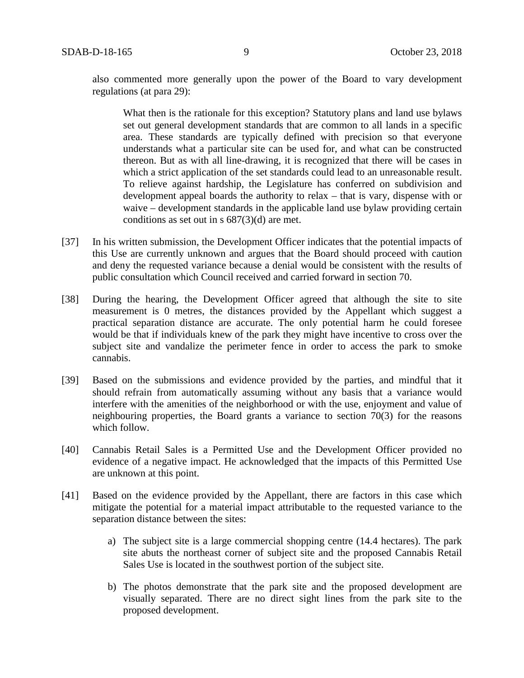also commented more generally upon the power of the Board to vary development regulations (at para 29):

What then is the rationale for this exception? Statutory plans and land use bylaws set out general development standards that are common to all lands in a specific area. These standards are typically defined with precision so that everyone understands what a particular site can be used for, and what can be constructed thereon. But as with all line-drawing, it is recognized that there will be cases in which a strict application of the set standards could lead to an unreasonable result. To relieve against hardship, the Legislature has conferred on subdivision and development appeal boards the authority to relax – that is vary, dispense with or waive – development standards in the applicable land use bylaw providing certain conditions as set out in s 687(3)(d) are met.

- [37] In his written submission, the Development Officer indicates that the potential impacts of this Use are currently unknown and argues that the Board should proceed with caution and deny the requested variance because a denial would be consistent with the results of public consultation which Council received and carried forward in section 70.
- [38] During the hearing, the Development Officer agreed that although the site to site measurement is 0 metres, the distances provided by the Appellant which suggest a practical separation distance are accurate. The only potential harm he could foresee would be that if individuals knew of the park they might have incentive to cross over the subject site and vandalize the perimeter fence in order to access the park to smoke cannabis.
- [39] Based on the submissions and evidence provided by the parties, and mindful that it should refrain from automatically assuming without any basis that a variance would interfere with the amenities of the neighborhood or with the use, enjoyment and value of neighbouring properties, the Board grants a variance to section 70(3) for the reasons which follow.
- [40] Cannabis Retail Sales is a Permitted Use and the Development Officer provided no evidence of a negative impact. He acknowledged that the impacts of this Permitted Use are unknown at this point.
- [41] Based on the evidence provided by the Appellant, there are factors in this case which mitigate the potential for a material impact attributable to the requested variance to the separation distance between the sites:
	- a) The subject site is a large commercial shopping centre (14.4 hectares). The park site abuts the northeast corner of subject site and the proposed Cannabis Retail Sales Use is located in the southwest portion of the subject site.
	- b) The photos demonstrate that the park site and the proposed development are visually separated. There are no direct sight lines from the park site to the proposed development.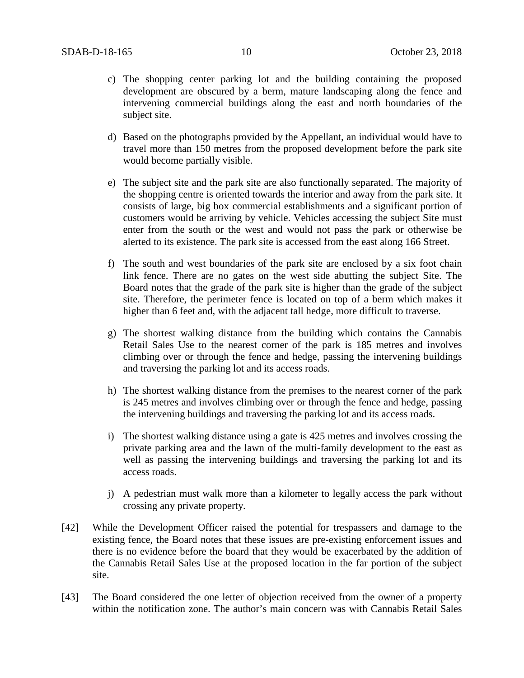- c) The shopping center parking lot and the building containing the proposed development are obscured by a berm, mature landscaping along the fence and intervening commercial buildings along the east and north boundaries of the subject site.
- d) Based on the photographs provided by the Appellant, an individual would have to travel more than 150 metres from the proposed development before the park site would become partially visible.
- e) The subject site and the park site are also functionally separated. The majority of the shopping centre is oriented towards the interior and away from the park site. It consists of large, big box commercial establishments and a significant portion of customers would be arriving by vehicle. Vehicles accessing the subject Site must enter from the south or the west and would not pass the park or otherwise be alerted to its existence. The park site is accessed from the east along 166 Street.
- f) The south and west boundaries of the park site are enclosed by a six foot chain link fence. There are no gates on the west side abutting the subject Site. The Board notes that the grade of the park site is higher than the grade of the subject site. Therefore, the perimeter fence is located on top of a berm which makes it higher than 6 feet and, with the adjacent tall hedge, more difficult to traverse.
- g) The shortest walking distance from the building which contains the Cannabis Retail Sales Use to the nearest corner of the park is 185 metres and involves climbing over or through the fence and hedge, passing the intervening buildings and traversing the parking lot and its access roads.
- h) The shortest walking distance from the premises to the nearest corner of the park is 245 metres and involves climbing over or through the fence and hedge, passing the intervening buildings and traversing the parking lot and its access roads.
- i) The shortest walking distance using a gate is 425 metres and involves crossing the private parking area and the lawn of the multi-family development to the east as well as passing the intervening buildings and traversing the parking lot and its access roads.
- j) A pedestrian must walk more than a kilometer to legally access the park without crossing any private property.
- [42] While the Development Officer raised the potential for trespassers and damage to the existing fence, the Board notes that these issues are pre-existing enforcement issues and there is no evidence before the board that they would be exacerbated by the addition of the Cannabis Retail Sales Use at the proposed location in the far portion of the subject site.
- [43] The Board considered the one letter of objection received from the owner of a property within the notification zone. The author's main concern was with Cannabis Retail Sales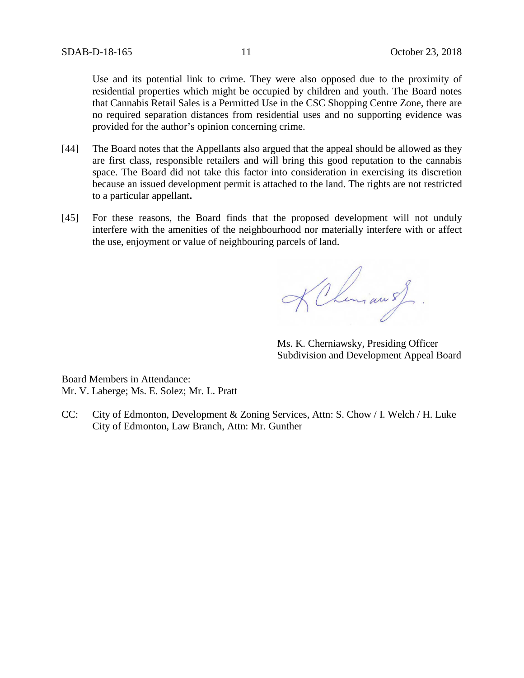Use and its potential link to crime. They were also opposed due to the proximity of residential properties which might be occupied by children and youth. The Board notes that Cannabis Retail Sales is a Permitted Use in the CSC Shopping Centre Zone, there are no required separation distances from residential uses and no supporting evidence was provided for the author's opinion concerning crime.

- [44] The Board notes that the Appellants also argued that the appeal should be allowed as they are first class, responsible retailers and will bring this good reputation to the cannabis space. The Board did not take this factor into consideration in exercising its discretion because an issued development permit is attached to the land. The rights are not restricted to a particular appellant**.**
- [45] For these reasons, the Board finds that the proposed development will not unduly interfere with the amenities of the neighbourhood nor materially interfere with or affect the use, enjoyment or value of neighbouring parcels of land.

KChimau of

Ms. K. Cherniawsky, Presiding Officer Subdivision and Development Appeal Board

Board Members in Attendance: Mr. V. Laberge; Ms. E. Solez; Mr. L. Pratt

CC: City of Edmonton, Development & Zoning Services, Attn: S. Chow / I. Welch / H. Luke City of Edmonton, Law Branch, Attn: Mr. Gunther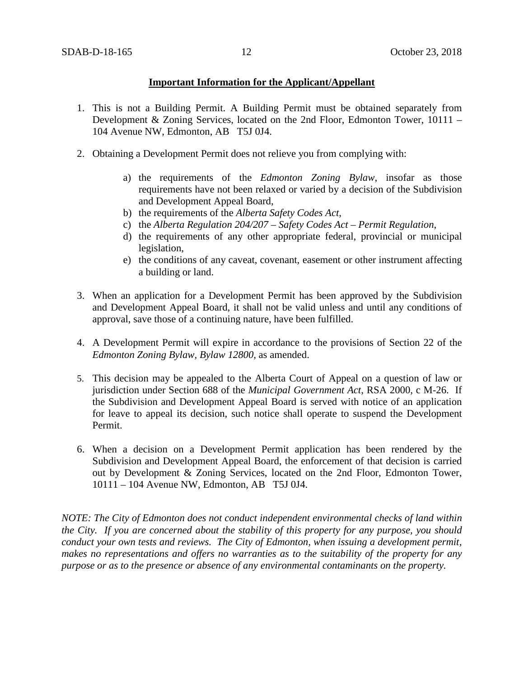## **Important Information for the Applicant/Appellant**

- 1. This is not a Building Permit. A Building Permit must be obtained separately from Development & Zoning Services, located on the 2nd Floor, Edmonton Tower, 10111 – 104 Avenue NW, Edmonton, AB T5J 0J4.
- 2. Obtaining a Development Permit does not relieve you from complying with:
	- a) the requirements of the *Edmonton Zoning Bylaw*, insofar as those requirements have not been relaxed or varied by a decision of the Subdivision and Development Appeal Board,
	- b) the requirements of the *Alberta Safety Codes Act*,
	- c) the *Alberta Regulation 204/207 – Safety Codes Act – Permit Regulation*,
	- d) the requirements of any other appropriate federal, provincial or municipal legislation,
	- e) the conditions of any caveat, covenant, easement or other instrument affecting a building or land.
- 3. When an application for a Development Permit has been approved by the Subdivision and Development Appeal Board, it shall not be valid unless and until any conditions of approval, save those of a continuing nature, have been fulfilled.
- 4. A Development Permit will expire in accordance to the provisions of Section 22 of the *Edmonton Zoning Bylaw, Bylaw 12800*, as amended.
- 5. This decision may be appealed to the Alberta Court of Appeal on a question of law or jurisdiction under Section 688 of the *Municipal Government Act*, RSA 2000, c M-26. If the Subdivision and Development Appeal Board is served with notice of an application for leave to appeal its decision, such notice shall operate to suspend the Development Permit.
- 6. When a decision on a Development Permit application has been rendered by the Subdivision and Development Appeal Board, the enforcement of that decision is carried out by Development & Zoning Services, located on the 2nd Floor, Edmonton Tower, 10111 – 104 Avenue NW, Edmonton, AB T5J 0J4.

*NOTE: The City of Edmonton does not conduct independent environmental checks of land within the City. If you are concerned about the stability of this property for any purpose, you should conduct your own tests and reviews. The City of Edmonton, when issuing a development permit, makes no representations and offers no warranties as to the suitability of the property for any purpose or as to the presence or absence of any environmental contaminants on the property.*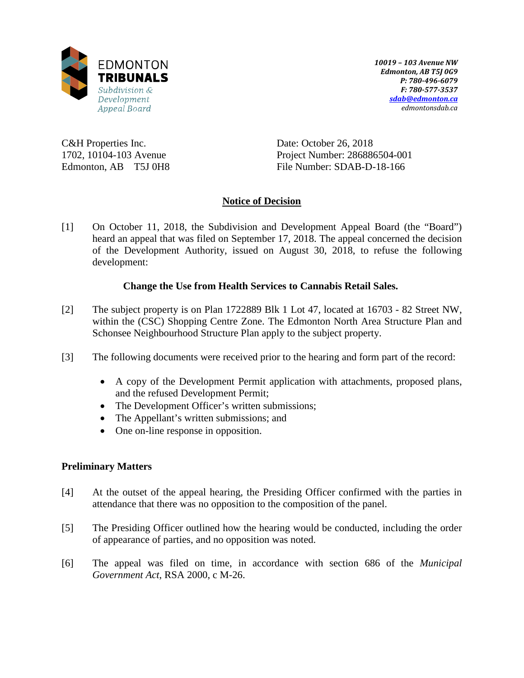

*10019 – 103 Avenue NW Edmonton, AB T5J 0G9 P: 780-496-6079 F: 780-577-3537 [sdab@edmonton.ca](mailto:sdab@edmonton.ca) edmontonsdab.ca*

C&H Properties Inc. 1702, 10104-103 Avenue Edmonton, AB T5J 0H8 Date: October 26, 2018 Project Number: 286886504-001 File Number: SDAB-D-18-166

# **Notice of Decision**

[1] On October 11, 2018, the Subdivision and Development Appeal Board (the "Board") heard an appeal that was filed on September 17, 2018. The appeal concerned the decision of the Development Authority, issued on August 30, 2018, to refuse the following development:

# **Change the Use from Health Services to Cannabis Retail Sales.**

- [2] The subject property is on Plan 1722889 Blk 1 Lot 47, located at 16703 82 Street NW, within the (CSC) Shopping Centre Zone. The Edmonton North Area Structure Plan and Schonsee Neighbourhood Structure Plan apply to the subject property.
- [3] The following documents were received prior to the hearing and form part of the record:
	- A copy of the Development Permit application with attachments, proposed plans, and the refused Development Permit;
	- The Development Officer's written submissions;
	- The Appellant's written submissions; and
	- One on-line response in opposition.

## **Preliminary Matters**

- [4] At the outset of the appeal hearing, the Presiding Officer confirmed with the parties in attendance that there was no opposition to the composition of the panel.
- [5] The Presiding Officer outlined how the hearing would be conducted, including the order of appearance of parties, and no opposition was noted.
- [6] The appeal was filed on time, in accordance with section 686 of the *Municipal Government Act*, RSA 2000, c M-26.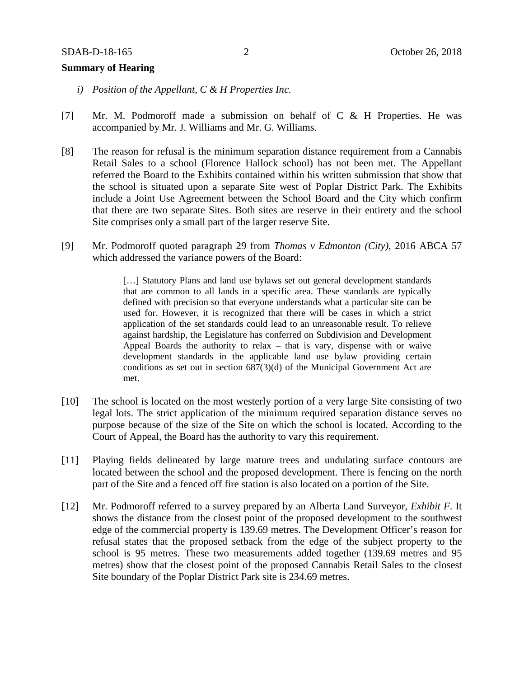### **Summary of Hearing**

- *i) Position of the Appellant, C & H Properties Inc.*
- [7] Mr. M. Podmoroff made a submission on behalf of C & H Properties. He was accompanied by Mr. J. Williams and Mr. G. Williams.
- [8] The reason for refusal is the minimum separation distance requirement from a Cannabis Retail Sales to a school (Florence Hallock school) has not been met. The Appellant referred the Board to the Exhibits contained within his written submission that show that the school is situated upon a separate Site west of Poplar District Park. The Exhibits include a Joint Use Agreement between the School Board and the City which confirm that there are two separate Sites. Both sites are reserve in their entirety and the school Site comprises only a small part of the larger reserve Site.
- [9] Mr. Podmoroff quoted paragraph 29 from *Thomas v Edmonton (City)*, 2016 ABCA 57 which addressed the variance powers of the Board:

[...] Statutory Plans and land use bylaws set out general development standards that are common to all lands in a specific area. These standards are typically defined with precision so that everyone understands what a particular site can be used for. However, it is recognized that there will be cases in which a strict application of the set standards could lead to an unreasonable result. To relieve against hardship, the Legislature has conferred on Subdivision and Development Appeal Boards the authority to relax – that is vary, dispense with or waive development standards in the applicable land use bylaw providing certain conditions as set out in section 687(3)(d) of the Municipal Government Act are met.

- [10] The school is located on the most westerly portion of a very large Site consisting of two legal lots. The strict application of the minimum required separation distance serves no purpose because of the size of the Site on which the school is located. According to the Court of Appeal, the Board has the authority to vary this requirement.
- [11] Playing fields delineated by large mature trees and undulating surface contours are located between the school and the proposed development. There is fencing on the north part of the Site and a fenced off fire station is also located on a portion of the Site.
- [12] Mr. Podmoroff referred to a survey prepared by an Alberta Land Surveyor, *Exhibit F*. It shows the distance from the closest point of the proposed development to the southwest edge of the commercial property is 139.69 metres. The Development Officer's reason for refusal states that the proposed setback from the edge of the subject property to the school is 95 metres. These two measurements added together (139.69 metres and 95 metres) show that the closest point of the proposed Cannabis Retail Sales to the closest Site boundary of the Poplar District Park site is 234.69 metres.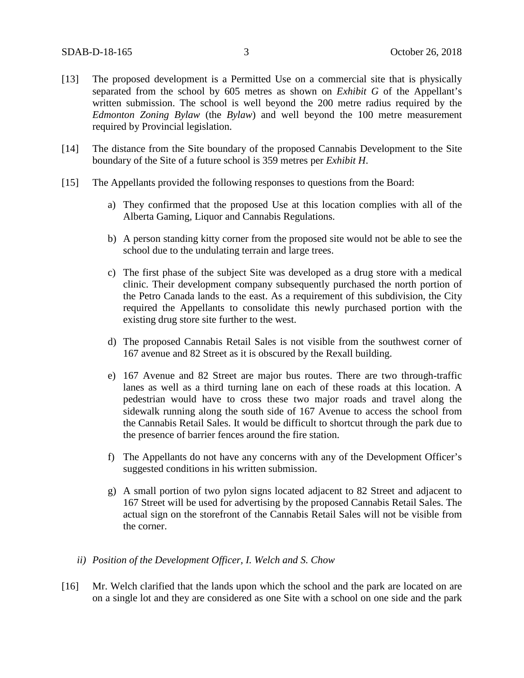- [13] The proposed development is a Permitted Use on a commercial site that is physically separated from the school by 605 metres as shown on *Exhibit G* of the Appellant's written submission. The school is well beyond the 200 metre radius required by the *Edmonton Zoning Bylaw* (the *Bylaw*) and well beyond the 100 metre measurement required by Provincial legislation.
- [14] The distance from the Site boundary of the proposed Cannabis Development to the Site boundary of the Site of a future school is 359 metres per *Exhibit H*.
- [15] The Appellants provided the following responses to questions from the Board:
	- a) They confirmed that the proposed Use at this location complies with all of the Alberta Gaming, Liquor and Cannabis Regulations.
	- b) A person standing kitty corner from the proposed site would not be able to see the school due to the undulating terrain and large trees.
	- c) The first phase of the subject Site was developed as a drug store with a medical clinic. Their development company subsequently purchased the north portion of the Petro Canada lands to the east. As a requirement of this subdivision, the City required the Appellants to consolidate this newly purchased portion with the existing drug store site further to the west.
	- d) The proposed Cannabis Retail Sales is not visible from the southwest corner of 167 avenue and 82 Street as it is obscured by the Rexall building.
	- e) 167 Avenue and 82 Street are major bus routes. There are two through-traffic lanes as well as a third turning lane on each of these roads at this location. A pedestrian would have to cross these two major roads and travel along the sidewalk running along the south side of 167 Avenue to access the school from the Cannabis Retail Sales. It would be difficult to shortcut through the park due to the presence of barrier fences around the fire station.
	- f) The Appellants do not have any concerns with any of the Development Officer's suggested conditions in his written submission.
	- g) A small portion of two pylon signs located adjacent to 82 Street and adjacent to 167 Street will be used for advertising by the proposed Cannabis Retail Sales. The actual sign on the storefront of the Cannabis Retail Sales will not be visible from the corner.
	- *ii) Position of the Development Officer, I. Welch and S. Chow*
- [16] Mr. Welch clarified that the lands upon which the school and the park are located on are on a single lot and they are considered as one Site with a school on one side and the park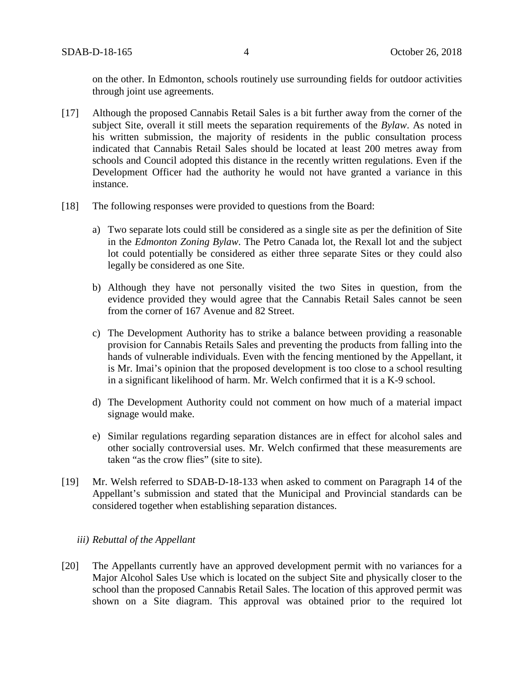on the other. In Edmonton, schools routinely use surrounding fields for outdoor activities through joint use agreements.

- [17] Although the proposed Cannabis Retail Sales is a bit further away from the corner of the subject Site, overall it still meets the separation requirements of the *Bylaw*. As noted in his written submission, the majority of residents in the public consultation process indicated that Cannabis Retail Sales should be located at least 200 metres away from schools and Council adopted this distance in the recently written regulations. Even if the Development Officer had the authority he would not have granted a variance in this instance.
- [18] The following responses were provided to questions from the Board:
	- a) Two separate lots could still be considered as a single site as per the definition of Site in the *Edmonton Zoning Bylaw*. The Petro Canada lot, the Rexall lot and the subject lot could potentially be considered as either three separate Sites or they could also legally be considered as one Site.
	- b) Although they have not personally visited the two Sites in question, from the evidence provided they would agree that the Cannabis Retail Sales cannot be seen from the corner of 167 Avenue and 82 Street.
	- c) The Development Authority has to strike a balance between providing a reasonable provision for Cannabis Retails Sales and preventing the products from falling into the hands of vulnerable individuals. Even with the fencing mentioned by the Appellant, it is Mr. Imai's opinion that the proposed development is too close to a school resulting in a significant likelihood of harm. Mr. Welch confirmed that it is a K-9 school.
	- d) The Development Authority could not comment on how much of a material impact signage would make.
	- e) Similar regulations regarding separation distances are in effect for alcohol sales and other socially controversial uses. Mr. Welch confirmed that these measurements are taken "as the crow flies" (site to site).
- [19] Mr. Welsh referred to SDAB-D-18-133 when asked to comment on Paragraph 14 of the Appellant's submission and stated that the Municipal and Provincial standards can be considered together when establishing separation distances.

#### *iii) Rebuttal of the Appellant*

[20] The Appellants currently have an approved development permit with no variances for a Major Alcohol Sales Use which is located on the subject Site and physically closer to the school than the proposed Cannabis Retail Sales. The location of this approved permit was shown on a Site diagram. This approval was obtained prior to the required lot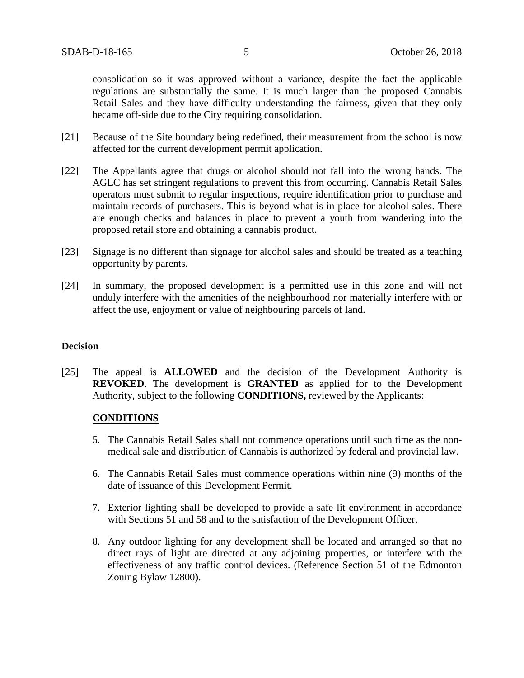consolidation so it was approved without a variance, despite the fact the applicable regulations are substantially the same. It is much larger than the proposed Cannabis Retail Sales and they have difficulty understanding the fairness, given that they only became off-side due to the City requiring consolidation.

- [21] Because of the Site boundary being redefined, their measurement from the school is now affected for the current development permit application.
- [22] The Appellants agree that drugs or alcohol should not fall into the wrong hands. The AGLC has set stringent regulations to prevent this from occurring. Cannabis Retail Sales operators must submit to regular inspections, require identification prior to purchase and maintain records of purchasers. This is beyond what is in place for alcohol sales. There are enough checks and balances in place to prevent a youth from wandering into the proposed retail store and obtaining a cannabis product.
- [23] Signage is no different than signage for alcohol sales and should be treated as a teaching opportunity by parents.
- [24] In summary, the proposed development is a permitted use in this zone and will not unduly interfere with the amenities of the neighbourhood nor materially interfere with or affect the use, enjoyment or value of neighbouring parcels of land.

### **Decision**

[25] The appeal is **ALLOWED** and the decision of the Development Authority is **REVOKED**. The development is **GRANTED** as applied for to the Development Authority, subject to the following **CONDITIONS,** reviewed by the Applicants:

## **CONDITIONS**

- 5. The Cannabis Retail Sales shall not commence operations until such time as the nonmedical sale and distribution of Cannabis is authorized by federal and provincial law.
- 6. The Cannabis Retail Sales must commence operations within nine (9) months of the date of issuance of this Development Permit.
- 7. Exterior lighting shall be developed to provide a safe lit environment in accordance with Sections 51 and 58 and to the satisfaction of the Development Officer.
- 8. Any outdoor lighting for any development shall be located and arranged so that no direct rays of light are directed at any adjoining properties, or interfere with the effectiveness of any traffic control devices. (Reference Section 51 of the Edmonton Zoning Bylaw 12800).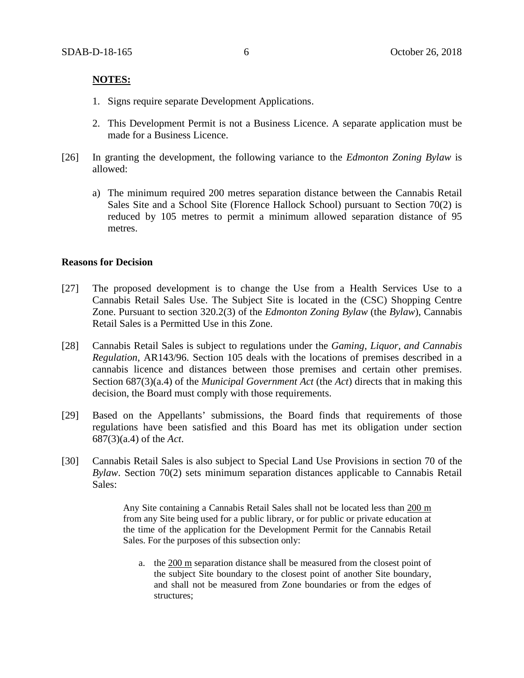### **NOTES:**

- 1. Signs require separate Development Applications.
- 2. This Development Permit is not a Business Licence. A separate application must be made for a Business Licence.
- [26] In granting the development, the following variance to the *Edmonton Zoning Bylaw* is allowed:
	- a) The minimum required 200 metres separation distance between the Cannabis Retail Sales Site and a School Site (Florence Hallock School) pursuant to Section 70(2) is reduced by 105 metres to permit a minimum allowed separation distance of 95 metres.

#### **Reasons for Decision**

- [27] The proposed development is to change the Use from a Health Services Use to a Cannabis Retail Sales Use. The Subject Site is located in the (CSC) Shopping Centre Zone. Pursuant to section 320.2(3) of the *Edmonton Zoning Bylaw* (the *Bylaw*), Cannabis Retail Sales is a Permitted Use in this Zone.
- [28] Cannabis Retail Sales is subject to regulations under the *Gaming, Liquor, and Cannabis Regulation,* AR143/96. Section 105 deals with the locations of premises described in a cannabis licence and distances between those premises and certain other premises. Section 687(3)(a.4) of the *Municipal Government Act* (the *Act*) directs that in making this decision, the Board must comply with those requirements.
- [29] Based on the Appellants' submissions, the Board finds that requirements of those regulations have been satisfied and this Board has met its obligation under section 687(3)(a.4) of the *Act*.
- [30] Cannabis Retail Sales is also subject to Special Land Use Provisions in section 70 of the *Bylaw*. Section 70(2) sets minimum separation distances applicable to Cannabis Retail Sales:

Any Site containing a Cannabis Retail Sales shall not be located less than [200 m](javascript:void(0);) from any Site being used for a public library, or for public or private education at the time of the application for the Development Permit for the Cannabis Retail Sales. For the purposes of this subsection only:

a. the [200 m](javascript:void(0);) separation distance shall be measured from the closest point of the subject Site boundary to the closest point of another Site boundary, and shall not be measured from Zone boundaries or from the edges of structures;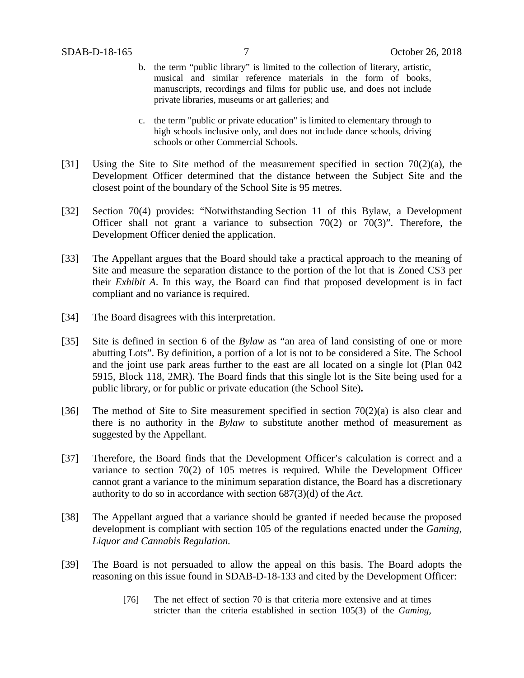- b. the term "public library" is limited to the collection of literary, artistic, musical and similar reference materials in the form of books, manuscripts, recordings and films for public use, and does not include private libraries, museums or art galleries; and
- c. the term "public or private education" is limited to elementary through to high schools inclusive only, and does not include dance schools, driving schools or other Commercial Schools.
- [31] Using the Site to Site method of the measurement specified in section  $70(2)(a)$ , the Development Officer determined that the distance between the Subject Site and the closest point of the boundary of the School Site is 95 metres.
- [32] Section 70(4) provides: "Notwithstanding Section 11 of this Bylaw, a Development Officer shall not grant a variance to subsection  $70(2)$  or  $70(3)$ ". Therefore, the Development Officer denied the application.
- [33] The Appellant argues that the Board should take a practical approach to the meaning of Site and measure the separation distance to the portion of the lot that is Zoned CS3 per their *Exhibit A*. In this way, the Board can find that proposed development is in fact compliant and no variance is required.
- [34] The Board disagrees with this interpretation.
- [35] Site is defined in section 6 of the *Bylaw* as "an area of land consisting of one or more abutting Lots". By definition, a portion of a lot is not to be considered a Site. The School and the joint use park areas further to the east are all located on a single lot (Plan 042 5915, Block 118, 2MR). The Board finds that this single lot is the Site being used for a public library, or for public or private education (the School Site)**.**
- [36] The method of Site to Site measurement specified in section  $70(2)(a)$  is also clear and there is no authority in the *Bylaw* to substitute another method of measurement as suggested by the Appellant.
- [37] Therefore, the Board finds that the Development Officer's calculation is correct and a variance to section 70(2) of 105 metres is required. While the Development Officer cannot grant a variance to the minimum separation distance, the Board has a discretionary authority to do so in accordance with section 687(3)(d) of the *Act*.
- [38] The Appellant argued that a variance should be granted if needed because the proposed development is compliant with section 105 of the regulations enacted under the *Gaming, Liquor and Cannabis Regulation.*
- [39] The Board is not persuaded to allow the appeal on this basis. The Board adopts the reasoning on this issue found in SDAB-D-18-133 and cited by the Development Officer:
	- [76] The net effect of section 70 is that criteria more extensive and at times stricter than the criteria established in section 105(3) of the *Gaming,*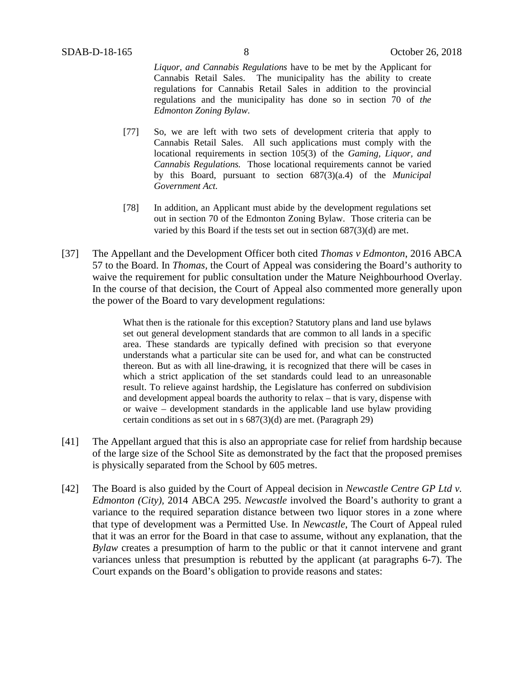*Liquor, and Cannabis Regulations* have to be met by the Applicant for Cannabis Retail Sales. The municipality has the ability to create regulations for Cannabis Retail Sales in addition to the provincial regulations and the municipality has done so in section 70 of *the Edmonton Zoning Bylaw*.

- [77] So, we are left with two sets of development criteria that apply to Cannabis Retail Sales. All such applications must comply with the locational requirements in section 105(3) of the *Gaming, Liquor, and Cannabis Regulations.* Those locational requirements cannot be varied by this Board, pursuant to section 687(3)(a.4) of the *Municipal Government Act.*
- [78] In addition, an Applicant must abide by the development regulations set out in section 70 of the Edmonton Zoning Bylaw. Those criteria can be varied by this Board if the tests set out in section 687(3)(d) are met.
- [37] The Appellant and the Development Officer both cited *Thomas v Edmonton*, 2016 ABCA 57 to the Board. In *Thomas,* the Court of Appeal was considering the Board's authority to waive the requirement for public consultation under the Mature Neighbourhood Overlay. In the course of that decision, the Court of Appeal also commented more generally upon the power of the Board to vary development regulations:

What then is the rationale for this exception? Statutory plans and land use bylaws set out general development standards that are common to all lands in a specific area. These standards are typically defined with precision so that everyone understands what a particular site can be used for, and what can be constructed thereon. But as with all line-drawing, it is recognized that there will be cases in which a strict application of the set standards could lead to an unreasonable result. To relieve against hardship, the Legislature has conferred on subdivision and development appeal boards the authority to relax – that is vary, dispense with or waive – development standards in the applicable land use bylaw providing certain conditions as set out in s 687(3)(d) are met. (Paragraph 29)

- [41] The Appellant argued that this is also an appropriate case for relief from hardship because of the large size of the School Site as demonstrated by the fact that the proposed premises is physically separated from the School by 605 metres.
- [42] The Board is also guided by the Court of Appeal decision in *Newcastle Centre GP Ltd v. Edmonton (City),* 2014 ABCA 295. *Newcastle* involved the Board's authority to grant a variance to the required separation distance between two liquor stores in a zone where that type of development was a Permitted Use. In *Newcastle*, The Court of Appeal ruled that it was an error for the Board in that case to assume, without any explanation, that the *Bylaw* creates a presumption of harm to the public or that it cannot intervene and grant variances unless that presumption is rebutted by the applicant (at paragraphs 6-7). The Court expands on the Board's obligation to provide reasons and states: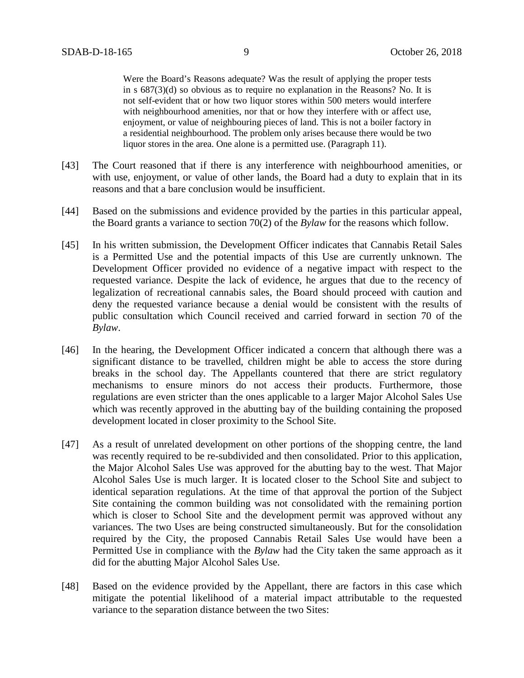Were the Board's Reasons adequate? Was the result of applying the proper tests in s 687(3)(d) so obvious as to require no explanation in the Reasons? No. It is not self-evident that or how two liquor stores within 500 meters would interfere with neighbourhood amenities, nor that or how they interfere with or affect use, enjoyment, or value of neighbouring pieces of land. This is not a boiler factory in a residential neighbourhood. The problem only arises because there would be two liquor stores in the area. One alone is a permitted use. (Paragraph 11).

- [43] The Court reasoned that if there is any interference with neighbourhood amenities, or with use, enjoyment, or value of other lands, the Board had a duty to explain that in its reasons and that a bare conclusion would be insufficient.
- [44] Based on the submissions and evidence provided by the parties in this particular appeal, the Board grants a variance to section 70(2) of the *Bylaw* for the reasons which follow.
- [45] In his written submission, the Development Officer indicates that Cannabis Retail Sales is a Permitted Use and the potential impacts of this Use are currently unknown. The Development Officer provided no evidence of a negative impact with respect to the requested variance. Despite the lack of evidence, he argues that due to the recency of legalization of recreational cannabis sales, the Board should proceed with caution and deny the requested variance because a denial would be consistent with the results of public consultation which Council received and carried forward in section 70 of the *Bylaw*.
- [46] In the hearing, the Development Officer indicated a concern that although there was a significant distance to be travelled, children might be able to access the store during breaks in the school day. The Appellants countered that there are strict regulatory mechanisms to ensure minors do not access their products. Furthermore, those regulations are even stricter than the ones applicable to a larger Major Alcohol Sales Use which was recently approved in the abutting bay of the building containing the proposed development located in closer proximity to the School Site.
- [47] As a result of unrelated development on other portions of the shopping centre, the land was recently required to be re-subdivided and then consolidated. Prior to this application, the Major Alcohol Sales Use was approved for the abutting bay to the west. That Major Alcohol Sales Use is much larger. It is located closer to the School Site and subject to identical separation regulations. At the time of that approval the portion of the Subject Site containing the common building was not consolidated with the remaining portion which is closer to School Site and the development permit was approved without any variances. The two Uses are being constructed simultaneously. But for the consolidation required by the City, the proposed Cannabis Retail Sales Use would have been a Permitted Use in compliance with the *Bylaw* had the City taken the same approach as it did for the abutting Major Alcohol Sales Use.
- [48] Based on the evidence provided by the Appellant, there are factors in this case which mitigate the potential likelihood of a material impact attributable to the requested variance to the separation distance between the two Sites: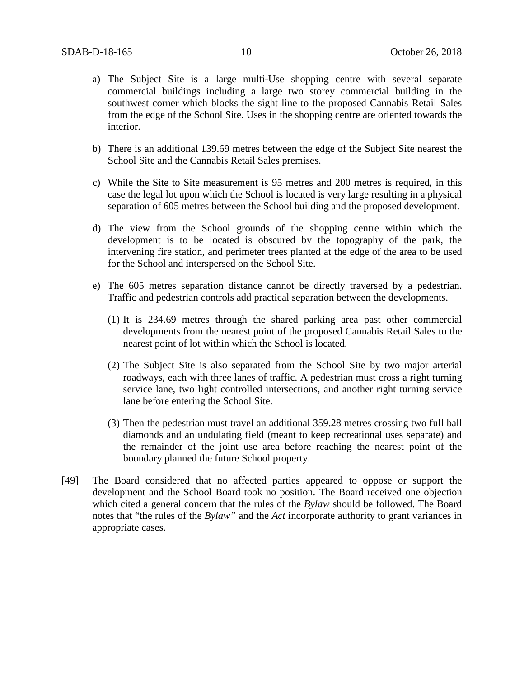- a) The Subject Site is a large multi-Use shopping centre with several separate commercial buildings including a large two storey commercial building in the southwest corner which blocks the sight line to the proposed Cannabis Retail Sales from the edge of the School Site. Uses in the shopping centre are oriented towards the interior.
- b) There is an additional 139.69 metres between the edge of the Subject Site nearest the School Site and the Cannabis Retail Sales premises.
- c) While the Site to Site measurement is 95 metres and 200 metres is required, in this case the legal lot upon which the School is located is very large resulting in a physical separation of 605 metres between the School building and the proposed development.
- d) The view from the School grounds of the shopping centre within which the development is to be located is obscured by the topography of the park, the intervening fire station, and perimeter trees planted at the edge of the area to be used for the School and interspersed on the School Site.
- e) The 605 metres separation distance cannot be directly traversed by a pedestrian. Traffic and pedestrian controls add practical separation between the developments.
	- (1) It is 234.69 metres through the shared parking area past other commercial developments from the nearest point of the proposed Cannabis Retail Sales to the nearest point of lot within which the School is located.
	- (2) The Subject Site is also separated from the School Site by two major arterial roadways, each with three lanes of traffic. A pedestrian must cross a right turning service lane, two light controlled intersections, and another right turning service lane before entering the School Site.
	- (3) Then the pedestrian must travel an additional 359.28 metres crossing two full ball diamonds and an undulating field (meant to keep recreational uses separate) and the remainder of the joint use area before reaching the nearest point of the boundary planned the future School property.
- [49] The Board considered that no affected parties appeared to oppose or support the development and the School Board took no position. The Board received one objection which cited a general concern that the rules of the *Bylaw* should be followed. The Board notes that "the rules of the *Bylaw"* and the *Act* incorporate authority to grant variances in appropriate cases.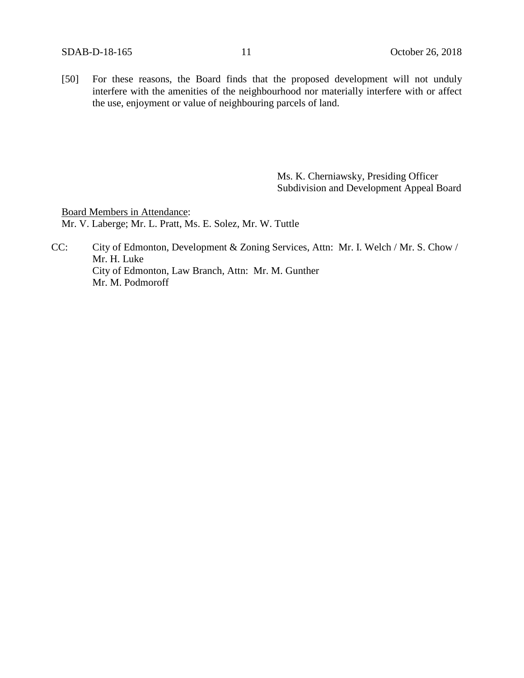[50] For these reasons, the Board finds that the proposed development will not unduly interfere with the amenities of the neighbourhood nor materially interfere with or affect the use, enjoyment or value of neighbouring parcels of land.

> Ms. K. Cherniawsky, Presiding Officer Subdivision and Development Appeal Board

Board Members in Attendance: Mr. V. Laberge; Mr. L. Pratt, Ms. E. Solez, Mr. W. Tuttle

CC: City of Edmonton, Development & Zoning Services, Attn: Mr. I. Welch / Mr. S. Chow / Mr. H. Luke City of Edmonton, Law Branch, Attn: Mr. M. Gunther Mr. M. Podmoroff